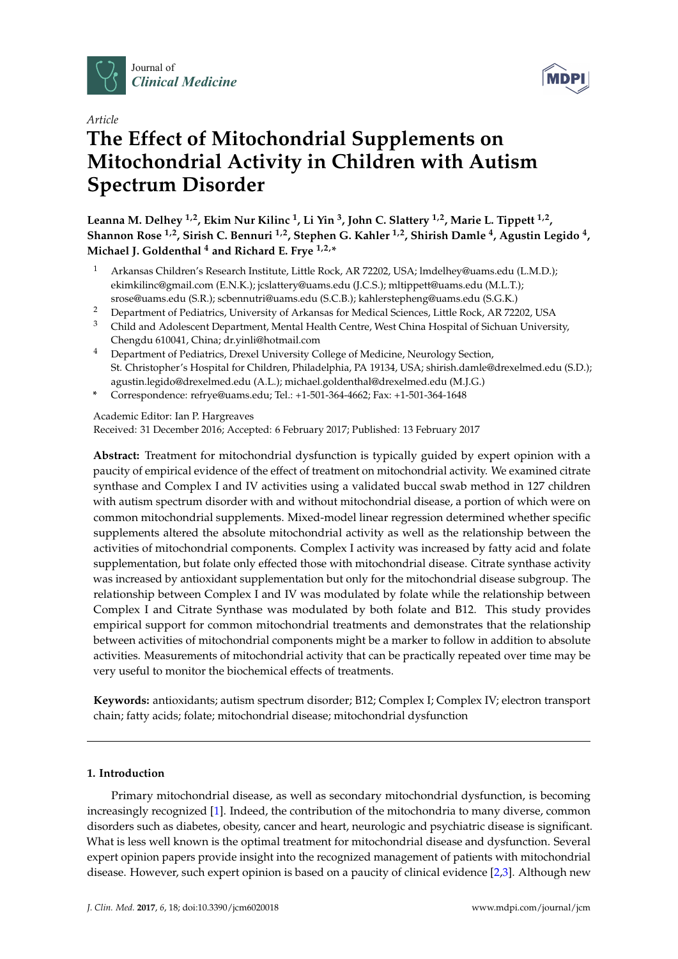





# **The Effect of Mitochondrial Supplements on Mitochondrial Activity in Children with Autism Spectrum Disorder**

**Leanna M. Delhey 1,2, Ekim Nur Kilinc <sup>1</sup> , Li Yin <sup>3</sup> , John C. Slattery 1,2, Marie L. Tippett 1,2 , Shannon Rose 1,2, Sirish C. Bennuri 1,2, Stephen G. Kahler 1,2, Shirish Damle <sup>4</sup> , Agustin Legido <sup>4</sup> , Michael J. Goldenthal <sup>4</sup> and Richard E. Frye 1,2,\***

- <sup>1</sup> Arkansas Children's Research Institute, Little Rock, AR 72202, USA; lmdelhey@uams.edu (L.M.D.); ekimkilinc@gmail.com (E.N.K.); jcslattery@uams.edu (J.C.S.); mltippett@uams.edu (M.L.T.); srose@uams.edu (S.R.); scbennutri@uams.edu (S.C.B.); kahlerstepheng@uams.edu (S.G.K.)
- <sup>2</sup> Department of Pediatrics, University of Arkansas for Medical Sciences, Little Rock, AR 72202, USA
- <sup>3</sup> Child and Adolescent Department, Mental Health Centre, West China Hospital of Sichuan University, Chengdu 610041, China; dr.yinli@hotmail.com
- <sup>4</sup> Department of Pediatrics, Drexel University College of Medicine, Neurology Section, St. Christopher's Hospital for Children, Philadelphia, PA 19134, USA; shirish.damle@drexelmed.edu (S.D.); agustin.legido@drexelmed.edu (A.L.); michael.goldenthal@drexelmed.edu (M.J.G.)
- **\*** Correspondence: refrye@uams.edu; Tel.: +1-501-364-4662; Fax: +1-501-364-1648

Academic Editor: Ian P. Hargreaves Received: 31 December 2016; Accepted: 6 February 2017; Published: 13 February 2017

**Abstract:** Treatment for mitochondrial dysfunction is typically guided by expert opinion with a paucity of empirical evidence of the effect of treatment on mitochondrial activity. We examined citrate synthase and Complex I and IV activities using a validated buccal swab method in 127 children with autism spectrum disorder with and without mitochondrial disease, a portion of which were on common mitochondrial supplements. Mixed-model linear regression determined whether specific supplements altered the absolute mitochondrial activity as well as the relationship between the activities of mitochondrial components. Complex I activity was increased by fatty acid and folate supplementation, but folate only effected those with mitochondrial disease. Citrate synthase activity was increased by antioxidant supplementation but only for the mitochondrial disease subgroup. The relationship between Complex I and IV was modulated by folate while the relationship between Complex I and Citrate Synthase was modulated by both folate and B12. This study provides empirical support for common mitochondrial treatments and demonstrates that the relationship between activities of mitochondrial components might be a marker to follow in addition to absolute activities. Measurements of mitochondrial activity that can be practically repeated over time may be very useful to monitor the biochemical effects of treatments.

**Keywords:** antioxidants; autism spectrum disorder; B12; Complex I; Complex IV; electron transport chain; fatty acids; folate; mitochondrial disease; mitochondrial dysfunction

### **1. Introduction**

Primary mitochondrial disease, as well as secondary mitochondrial dysfunction, is becoming increasingly recognized [\[1\]](#page-9-0). Indeed, the contribution of the mitochondria to many diverse, common disorders such as diabetes, obesity, cancer and heart, neurologic and psychiatric disease is significant. What is less well known is the optimal treatment for mitochondrial disease and dysfunction. Several expert opinion papers provide insight into the recognized management of patients with mitochondrial disease. However, such expert opinion is based on a paucity of clinical evidence [\[2](#page-9-1)[,3\]](#page-9-2). Although new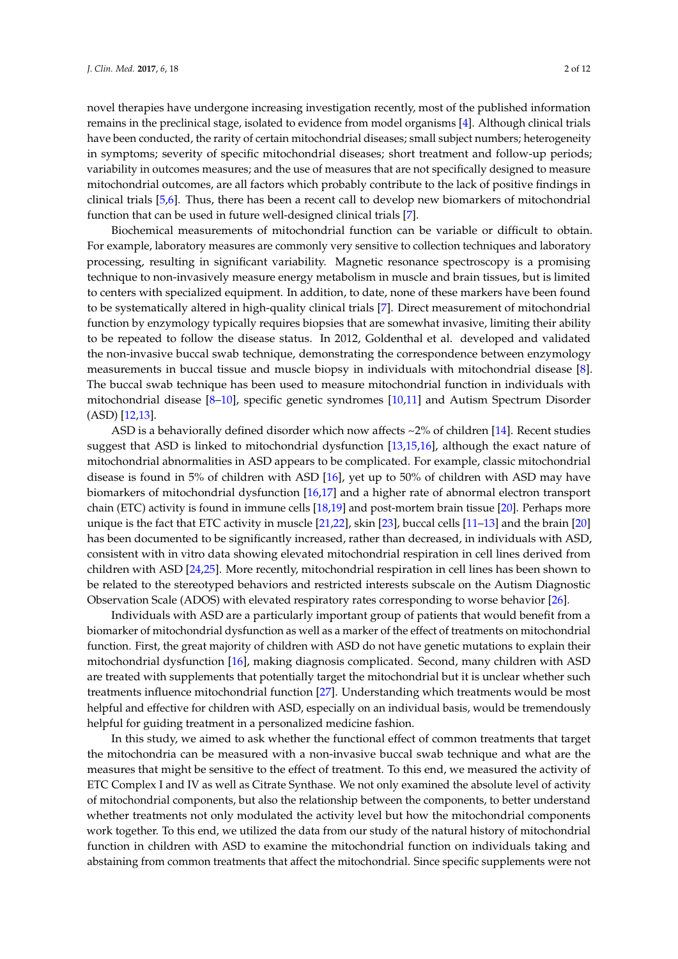novel therapies have undergone increasing investigation recently, most of the published information remains in the preclinical stage, isolated to evidence from model organisms [\[4\]](#page-10-0). Although clinical trials have been conducted, the rarity of certain mitochondrial diseases; small subject numbers; heterogeneity in symptoms; severity of specific mitochondrial diseases; short treatment and follow-up periods; variability in outcomes measures; and the use of measures that are not specifically designed to measure mitochondrial outcomes, are all factors which probably contribute to the lack of positive findings in clinical trials [\[5,](#page-10-1)[6\]](#page-10-2). Thus, there has been a recent call to develop new biomarkers of mitochondrial function that can be used in future well-designed clinical trials [\[7\]](#page-10-3).

Biochemical measurements of mitochondrial function can be variable or difficult to obtain. For example, laboratory measures are commonly very sensitive to collection techniques and laboratory processing, resulting in significant variability. Magnetic resonance spectroscopy is a promising technique to non-invasively measure energy metabolism in muscle and brain tissues, but is limited to centers with specialized equipment. In addition, to date, none of these markers have been found to be systematically altered in high-quality clinical trials [\[7\]](#page-10-3). Direct measurement of mitochondrial function by enzymology typically requires biopsies that are somewhat invasive, limiting their ability to be repeated to follow the disease status. In 2012, Goldenthal et al. developed and validated the non-invasive buccal swab technique, demonstrating the correspondence between enzymology measurements in buccal tissue and muscle biopsy in individuals with mitochondrial disease [\[8\]](#page-10-4). The buccal swab technique has been used to measure mitochondrial function in individuals with mitochondrial disease [\[8](#page-10-4)[–10\]](#page-10-5), specific genetic syndromes [\[10,](#page-10-5)[11\]](#page-10-6) and Autism Spectrum Disorder (ASD) [\[12](#page-10-7)[,13\]](#page-10-8).

ASD is a behaviorally defined disorder which now affects  $\sim$ 2% of children [\[14\]](#page-10-9). Recent studies suggest that ASD is linked to mitochondrial dysfunction [\[13](#page-10-8)[,15](#page-10-10)[,16\]](#page-10-11), although the exact nature of mitochondrial abnormalities in ASD appears to be complicated. For example, classic mitochondrial disease is found in 5% of children with ASD [\[16\]](#page-10-11), yet up to 50% of children with ASD may have biomarkers of mitochondrial dysfunction [\[16](#page-10-11)[,17\]](#page-10-12) and a higher rate of abnormal electron transport chain (ETC) activity is found in immune cells [\[18,](#page-10-13)[19\]](#page-10-14) and post-mortem brain tissue [\[20\]](#page-10-15). Perhaps more unique is the fact that ETC activity in muscle [\[21](#page-10-16)[,22\]](#page-10-17), skin [\[23\]](#page-10-18), buccal cells [\[11–](#page-10-6)[13\]](#page-10-8) and the brain [\[20\]](#page-10-15) has been documented to be significantly increased, rather than decreased, in individuals with ASD, consistent with in vitro data showing elevated mitochondrial respiration in cell lines derived from children with ASD [\[24,](#page-10-19)[25\]](#page-11-0). More recently, mitochondrial respiration in cell lines has been shown to be related to the stereotyped behaviors and restricted interests subscale on the Autism Diagnostic Observation Scale (ADOS) with elevated respiratory rates corresponding to worse behavior [\[26\]](#page-11-1).

Individuals with ASD are a particularly important group of patients that would benefit from a biomarker of mitochondrial dysfunction as well as a marker of the effect of treatments on mitochondrial function. First, the great majority of children with ASD do not have genetic mutations to explain their mitochondrial dysfunction [\[16\]](#page-10-11), making diagnosis complicated. Second, many children with ASD are treated with supplements that potentially target the mitochondrial but it is unclear whether such treatments influence mitochondrial function [\[27\]](#page-11-2). Understanding which treatments would be most helpful and effective for children with ASD, especially on an individual basis, would be tremendously helpful for guiding treatment in a personalized medicine fashion.

In this study, we aimed to ask whether the functional effect of common treatments that target the mitochondria can be measured with a non-invasive buccal swab technique and what are the measures that might be sensitive to the effect of treatment. To this end, we measured the activity of ETC Complex I and IV as well as Citrate Synthase. We not only examined the absolute level of activity of mitochondrial components, but also the relationship between the components, to better understand whether treatments not only modulated the activity level but how the mitochondrial components work together. To this end, we utilized the data from our study of the natural history of mitochondrial function in children with ASD to examine the mitochondrial function on individuals taking and abstaining from common treatments that affect the mitochondrial. Since specific supplements were not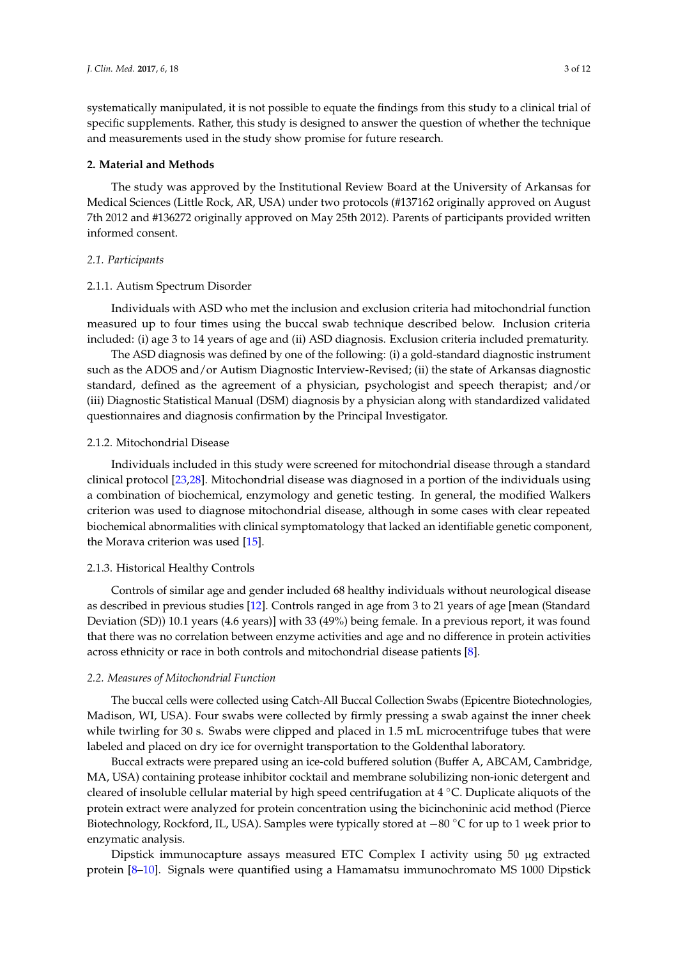systematically manipulated, it is not possible to equate the findings from this study to a clinical trial of specific supplements. Rather, this study is designed to answer the question of whether the technique and measurements used in the study show promise for future research.

#### **2. Material and Methods**

The study was approved by the Institutional Review Board at the University of Arkansas for Medical Sciences (Little Rock, AR, USA) under two protocols (#137162 originally approved on August 7th 2012 and #136272 originally approved on May 25th 2012). Parents of participants provided written informed consent.

#### *2.1. Participants*

#### 2.1.1. Autism Spectrum Disorder

Individuals with ASD who met the inclusion and exclusion criteria had mitochondrial function measured up to four times using the buccal swab technique described below. Inclusion criteria included: (i) age 3 to 14 years of age and (ii) ASD diagnosis. Exclusion criteria included prematurity.

The ASD diagnosis was defined by one of the following: (i) a gold-standard diagnostic instrument such as the ADOS and/or Autism Diagnostic Interview-Revised; (ii) the state of Arkansas diagnostic standard, defined as the agreement of a physician, psychologist and speech therapist; and/or (iii) Diagnostic Statistical Manual (DSM) diagnosis by a physician along with standardized validated questionnaires and diagnosis confirmation by the Principal Investigator.

#### 2.1.2. Mitochondrial Disease

Individuals included in this study were screened for mitochondrial disease through a standard clinical protocol [\[23,](#page-10-18)[28\]](#page-11-3). Mitochondrial disease was diagnosed in a portion of the individuals using a combination of biochemical, enzymology and genetic testing. In general, the modified Walkers criterion was used to diagnose mitochondrial disease, although in some cases with clear repeated biochemical abnormalities with clinical symptomatology that lacked an identifiable genetic component, the Morava criterion was used [\[15\]](#page-10-10).

#### 2.1.3. Historical Healthy Controls

Controls of similar age and gender included 68 healthy individuals without neurological disease as described in previous studies [\[12\]](#page-10-7). Controls ranged in age from 3 to 21 years of age [mean (Standard Deviation (SD)) 10.1 years (4.6 years)] with 33 (49%) being female. In a previous report, it was found that there was no correlation between enzyme activities and age and no difference in protein activities across ethnicity or race in both controls and mitochondrial disease patients [\[8\]](#page-10-4).

#### *2.2. Measures of Mitochondrial Function*

The buccal cells were collected using Catch-All Buccal Collection Swabs (Epicentre Biotechnologies, Madison, WI, USA). Four swabs were collected by firmly pressing a swab against the inner cheek while twirling for 30 s. Swabs were clipped and placed in 1.5 mL microcentrifuge tubes that were labeled and placed on dry ice for overnight transportation to the Goldenthal laboratory.

Buccal extracts were prepared using an ice-cold buffered solution (Buffer A, ABCAM, Cambridge, MA, USA) containing protease inhibitor cocktail and membrane solubilizing non-ionic detergent and cleared of insoluble cellular material by high speed centrifugation at 4 ◦C. Duplicate aliquots of the protein extract were analyzed for protein concentration using the bicinchoninic acid method (Pierce Biotechnology, Rockford, IL, USA). Samples were typically stored at −80 ◦C for up to 1 week prior to enzymatic analysis.

Dipstick immunocapture assays measured ETC Complex I activity using 50 µg extracted protein [\[8–](#page-10-4)[10\]](#page-10-5). Signals were quantified using a Hamamatsu immunochromato MS 1000 Dipstick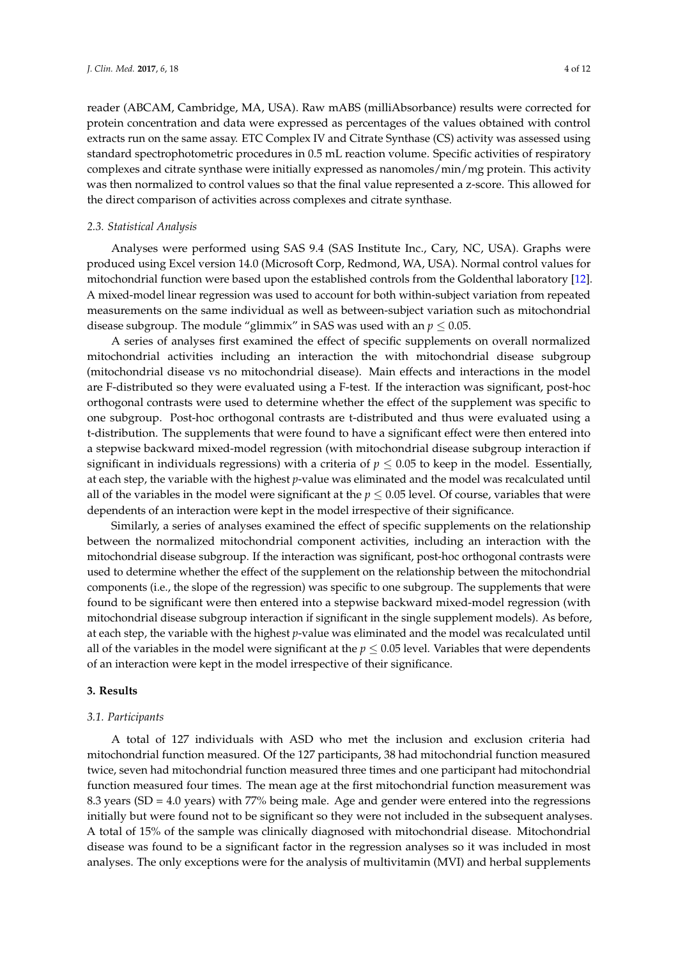reader (ABCAM, Cambridge, MA, USA). Raw mABS (milliAbsorbance) results were corrected for protein concentration and data were expressed as percentages of the values obtained with control extracts run on the same assay. ETC Complex IV and Citrate Synthase (CS) activity was assessed using standard spectrophotometric procedures in 0.5 mL reaction volume. Specific activities of respiratory complexes and citrate synthase were initially expressed as nanomoles/min/mg protein. This activity was then normalized to control values so that the final value represented a z-score. This allowed for the direct comparison of activities across complexes and citrate synthase.

#### *2.3. Statistical Analysis*

Analyses were performed using SAS 9.4 (SAS Institute Inc., Cary, NC, USA). Graphs were produced using Excel version 14.0 (Microsoft Corp, Redmond, WA, USA). Normal control values for mitochondrial function were based upon the established controls from the Goldenthal laboratory [\[12\]](#page-10-7). A mixed-model linear regression was used to account for both within-subject variation from repeated measurements on the same individual as well as between-subject variation such as mitochondrial disease subgroup. The module "glimmix" in SAS was used with an  $p \leq 0.05$ .

A series of analyses first examined the effect of specific supplements on overall normalized mitochondrial activities including an interaction the with mitochondrial disease subgroup (mitochondrial disease vs no mitochondrial disease). Main effects and interactions in the model are F-distributed so they were evaluated using a F-test. If the interaction was significant, post-hoc orthogonal contrasts were used to determine whether the effect of the supplement was specific to one subgroup. Post-hoc orthogonal contrasts are t-distributed and thus were evaluated using a t-distribution. The supplements that were found to have a significant effect were then entered into a stepwise backward mixed-model regression (with mitochondrial disease subgroup interaction if significant in individuals regressions) with a criteria of  $p \leq 0.05$  to keep in the model. Essentially, at each step, the variable with the highest *p*-value was eliminated and the model was recalculated until all of the variables in the model were significant at the  $p \le 0.05$  level. Of course, variables that were dependents of an interaction were kept in the model irrespective of their significance.

Similarly, a series of analyses examined the effect of specific supplements on the relationship between the normalized mitochondrial component activities, including an interaction with the mitochondrial disease subgroup. If the interaction was significant, post-hoc orthogonal contrasts were used to determine whether the effect of the supplement on the relationship between the mitochondrial components (i.e., the slope of the regression) was specific to one subgroup. The supplements that were found to be significant were then entered into a stepwise backward mixed-model regression (with mitochondrial disease subgroup interaction if significant in the single supplement models). As before, at each step, the variable with the highest *p*-value was eliminated and the model was recalculated until all of the variables in the model were significant at the  $p \leq 0.05$  level. Variables that were dependents of an interaction were kept in the model irrespective of their significance.

#### **3. Results**

#### *3.1. Participants*

A total of 127 individuals with ASD who met the inclusion and exclusion criteria had mitochondrial function measured. Of the 127 participants, 38 had mitochondrial function measured twice, seven had mitochondrial function measured three times and one participant had mitochondrial function measured four times. The mean age at the first mitochondrial function measurement was 8.3 years (SD = 4.0 years) with 77% being male. Age and gender were entered into the regressions initially but were found not to be significant so they were not included in the subsequent analyses. A total of 15% of the sample was clinically diagnosed with mitochondrial disease. Mitochondrial disease was found to be a significant factor in the regression analyses so it was included in most analyses. The only exceptions were for the analysis of multivitamin (MVI) and herbal supplements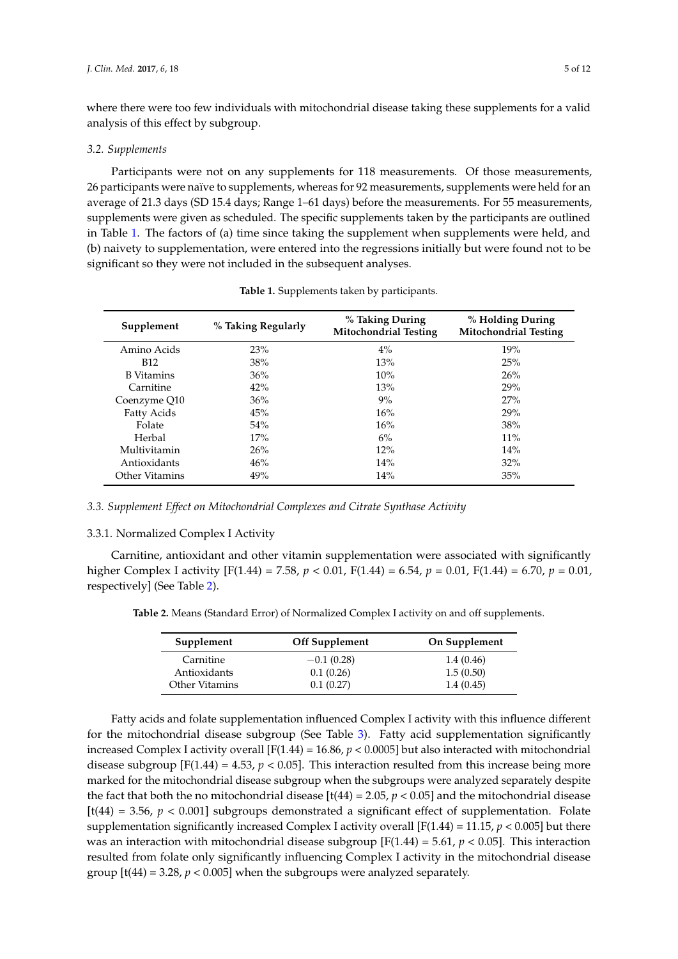where there were too few individuals with mitochondrial disease taking these supplements for a valid analysis of this effect by subgroup.

#### *3.2. Supplements*

Participants were not on any supplements for 118 measurements. Of those measurements, 26 participants were naïve to supplements, whereas for 92 measurements, supplements were held for an average of 21.3 days (SD 15.4 days; Range 1–61 days) before the measurements. For 55 measurements, supplements were given as scheduled. The specific supplements taken by the participants are outlined in Table [1.](#page-4-0) The factors of (a) time since taking the supplement when supplements were held, and (b) naivety to supplementation, were entered into the regressions initially but were found not to be significant so they were not included in the subsequent analyses.

<span id="page-4-0"></span>

| Supplement        | % Taking Regularly | % Taking During<br><b>Mitochondrial Testing</b> | % Holding During<br><b>Mitochondrial Testing</b> |
|-------------------|--------------------|-------------------------------------------------|--------------------------------------------------|
| Amino Acids       | 23%                | $4\%$                                           | 19%                                              |
| <b>B12</b>        | 38%                | 13%                                             | 25%                                              |
| <b>B</b> Vitamins | 36%                | 10%                                             | 26%                                              |
| Carnitine         | 42%                | 13%                                             | 29%                                              |
| Coenzyme Q10      | 36%                | 9%                                              | 27%                                              |
| Fatty Acids       | 45%                | 16%                                             | 29%                                              |
| Folate            | 54%                | 16%                                             | 38%                                              |
| Herbal            | 17%                | 6%                                              | $11\%$                                           |
| Multivitamin      | 26%                | 12%                                             | 14%                                              |
| Antioxidants      | 46%                | 14%                                             | $32\%$                                           |
| Other Vitamins    | 49%                | 14%                                             | 35%                                              |

| Table 1. Supplements taken by participants. |  |  |  |
|---------------------------------------------|--|--|--|
|---------------------------------------------|--|--|--|

*3.3. Supplement Effect on Mitochondrial Complexes and Citrate Synthase Activity*

#### 3.3.1. Normalized Complex I Activity

Carnitine, antioxidant and other vitamin supplementation were associated with significantly higher Complex I activity [F(1.44) = 7.58, *p* < 0.01, F(1.44) = 6.54, *p* = 0.01, F(1.44) = 6.70, *p* = 0.01, respectively] (See Table [2\)](#page-4-1).

<span id="page-4-1"></span>**Table 2.** Means (Standard Error) of Normalized Complex I activity on and off supplements.

| Supplement     | <b>Off Supplement</b> | On Supplement |
|----------------|-----------------------|---------------|
| Carnitine      | $-0.1(0.28)$          | 1.4(0.46)     |
| Antioxidants   | 0.1(0.26)             | 1.5(0.50)     |
| Other Vitamins | 0.1(0.27)             | 1.4(0.45)     |

Fatty acids and folate supplementation influenced Complex I activity with this influence different for the mitochondrial disease subgroup (See Table [3\)](#page-5-0). Fatty acid supplementation significantly increased Complex I activity overall [F(1.44) = 16.86, *p* < 0.0005] but also interacted with mitochondrial disease subgroup  $[F(1.44) = 4.53, p < 0.05]$ . This interaction resulted from this increase being more marked for the mitochondrial disease subgroup when the subgroups were analyzed separately despite the fact that both the no mitochondrial disease  $[t(44) = 2.05, p < 0.05]$  and the mitochondrial disease  $[t(44) = 3.56, p < 0.001]$  subgroups demonstrated a significant effect of supplementation. Folate supplementation significantly increased Complex I activity overall  $[F(1.44) = 11.15, p < 0.005]$  but there was an interaction with mitochondrial disease subgroup  $[F(1.44) = 5.61, p < 0.05]$ . This interaction resulted from folate only significantly influencing Complex I activity in the mitochondrial disease group  $[t(44) = 3.28, p < 0.005]$  when the subgroups were analyzed separately.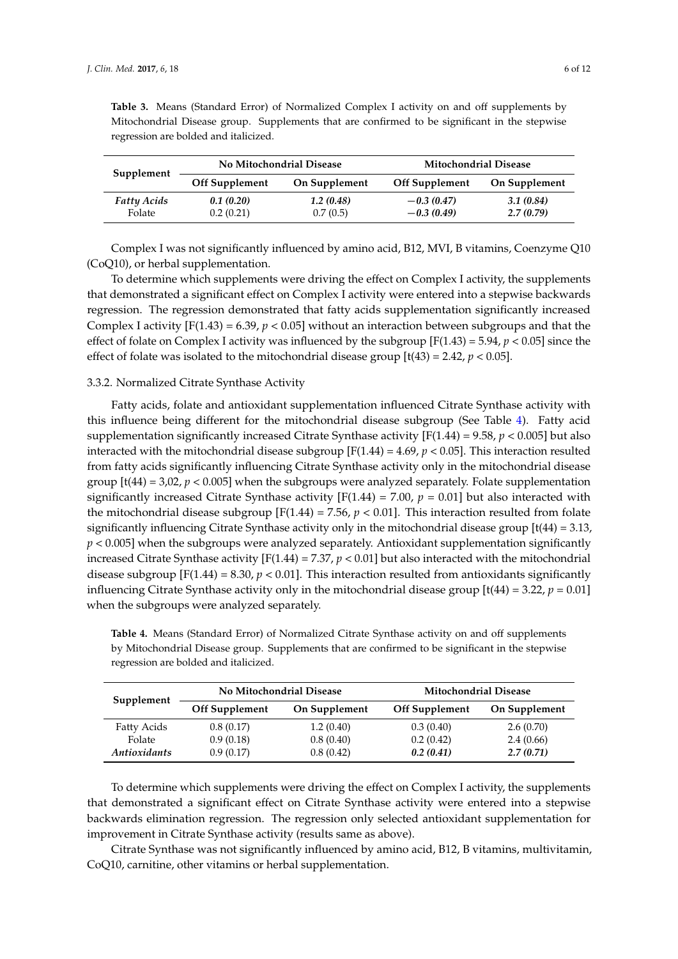| Supplement                   | No Mitochondrial Disease |                       | <b>Mitochondrial Disease</b> |                        |
|------------------------------|--------------------------|-----------------------|------------------------------|------------------------|
|                              | <b>Off Supplement</b>    | On Supplement         | <b>Off Supplement</b>        | On Supplement          |
| <b>Fatty Acids</b><br>Folate | 0.1(0.20)<br>0.2(0.21)   | 1.2(0.48)<br>0.7(0.5) | $-0.3(0.47)$<br>$-0.3(0.49)$ | 3.1(0.84)<br>2.7(0.79) |

<span id="page-5-0"></span>**Table 3.** Means (Standard Error) of Normalized Complex I activity on and off supplements by Mitochondrial Disease group. Supplements that are confirmed to be significant in the stepwise regression are bolded and italicized.

Complex I was not significantly influenced by amino acid, B12, MVI, B vitamins, Coenzyme Q10 (CoQ10), or herbal supplementation.

To determine which supplements were driving the effect on Complex I activity, the supplements that demonstrated a significant effect on Complex I activity were entered into a stepwise backwards regression. The regression demonstrated that fatty acids supplementation significantly increased Complex I activity  $[F(1.43) = 6.39, p < 0.05]$  without an interaction between subgroups and that the effect of folate on Complex I activity was influenced by the subgroup  $[F(1.43) = 5.94, p < 0.05]$  since the effect of folate was isolated to the mitochondrial disease group  $[t(43) = 2.42, p < 0.05]$ .

#### 3.3.2. Normalized Citrate Synthase Activity

Fatty acids, folate and antioxidant supplementation influenced Citrate Synthase activity with this influence being different for the mitochondrial disease subgroup (See Table [4\)](#page-5-1). Fatty acid supplementation significantly increased Citrate Synthase activity  $[F(1.44) = 9.58, p < 0.005]$  but also interacted with the mitochondrial disease subgroup  $[F(1.44) = 4.69, p < 0.05]$ . This interaction resulted from fatty acids significantly influencing Citrate Synthase activity only in the mitochondrial disease group [t(44) = 3,02, *p* < 0.005] when the subgroups were analyzed separately. Folate supplementation significantly increased Citrate Synthase activity  $[F(1.44) = 7.00, p = 0.01]$  but also interacted with the mitochondrial disease subgroup  $[F(1.44) = 7.56, p < 0.01]$ . This interaction resulted from folate significantly influencing Citrate Synthase activity only in the mitochondrial disease group [t(44) = 3.13, *p* < 0.005] when the subgroups were analyzed separately. Antioxidant supplementation significantly increased Citrate Synthase activity  $[F(1.44) = 7.37, p < 0.01]$  but also interacted with the mitochondrial disease subgroup  $[F(1.44) = 8.30, p < 0.01]$ . This interaction resulted from antioxidants significantly influencing Citrate Synthase activity only in the mitochondrial disease group  $[t(44) = 3.22, p = 0.01]$ when the subgroups were analyzed separately.

| Supplement                 | No Mitochondrial Disease |               | <b>Mitochondrial Disease</b> |               |
|----------------------------|--------------------------|---------------|------------------------------|---------------|
|                            | <b>Off Supplement</b>    | On Supplement | <b>Off Supplement</b>        | On Supplement |
| Fatty Acids                | 0.8(0.17)                | 1.2(0.40)     | 0.3(0.40)                    | 2.6(0.70)     |
| Folate                     | 0.9(0.18)                | 0.8(0.40)     | 0.2(0.42)                    | 2.4(0.66)     |
| <i><b>Antioxidants</b></i> | 0.9(0.17)                | 0.8(0.42)     | 0.2(0.41)                    | 2.7(0.71)     |

<span id="page-5-1"></span>**Table 4.** Means (Standard Error) of Normalized Citrate Synthase activity on and off supplements by Mitochondrial Disease group. Supplements that are confirmed to be significant in the stepwise regression are bolded and italicized.

To determine which supplements were driving the effect on Complex I activity, the supplements that demonstrated a significant effect on Citrate Synthase activity were entered into a stepwise backwards elimination regression. The regression only selected antioxidant supplementation for improvement in Citrate Synthase activity (results same as above).

Citrate Synthase was not significantly influenced by amino acid, B12, B vitamins, multivitamin, CoQ10, carnitine, other vitamins or herbal supplementation.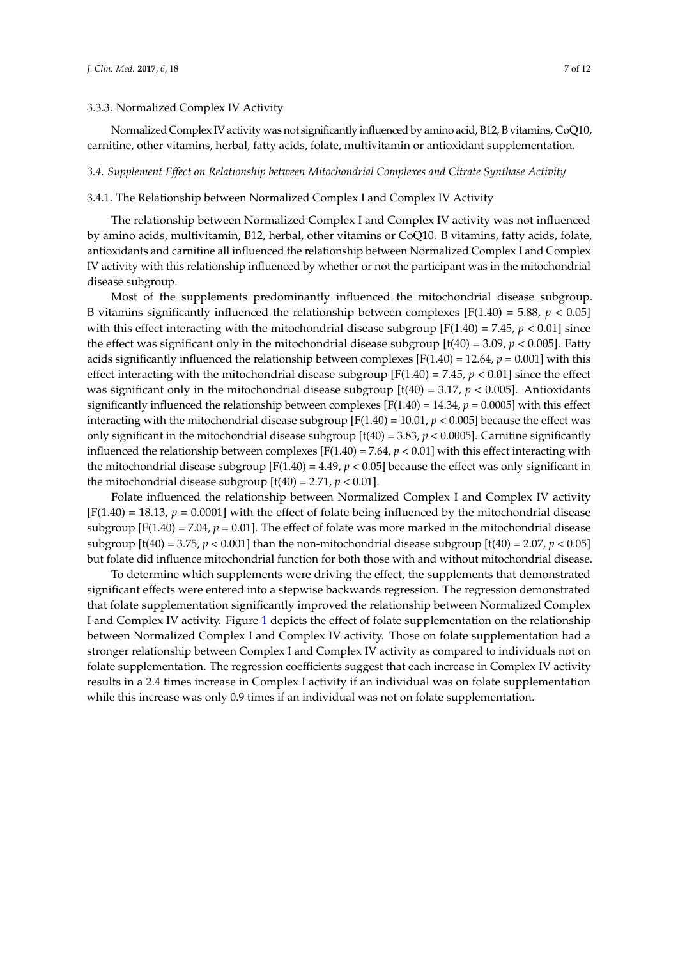#### 3.3.3. Normalized Complex IV Activity

Normalized Complex IV activity was not significantly influenced by amino acid, B12, B vitamins, CoQ10, carnitine, other vitamins, herbal, fatty acids, folate, multivitamin or antioxidant supplementation.

#### *3.4. Supplement Effect on Relationship between Mitochondrial Complexes and Citrate Synthase Activity*

#### 3.4.1. The Relationship between Normalized Complex I and Complex IV Activity

The relationship between Normalized Complex I and Complex IV activity was not influenced by amino acids, multivitamin, B12, herbal, other vitamins or CoQ10. B vitamins, fatty acids, folate, antioxidants and carnitine all influenced the relationship between Normalized Complex I and Complex IV activity with this relationship influenced by whether or not the participant was in the mitochondrial disease subgroup.

Most of the supplements predominantly influenced the mitochondrial disease subgroup. B vitamins significantly influenced the relationship between complexes  $[F(1.40) = 5.88, p < 0.05]$ with this effect interacting with the mitochondrial disease subgroup [F(1.40) = 7.45, *p* < 0.01] since the effect was significant only in the mitochondrial disease subgroup  $[t(40) = 3.09, p < 0.005]$ . Fatty acids significantly influenced the relationship between complexes  $[F(1.40) = 12.64, p = 0.001]$  with this effect interacting with the mitochondrial disease subgroup  $[F(1.40) = 7.45, p < 0.01]$  since the effect was significant only in the mitochondrial disease subgroup  $[t(40) = 3.17, p < 0.005]$ . Antioxidants significantly influenced the relationship between complexes  $[F(1.40) = 14.34, p = 0.0005]$  with this effect interacting with the mitochondrial disease subgroup [F(1.40) = 10.01, *p* < 0.005] because the effect was only significant in the mitochondrial disease subgroup [t(40) = 3.83, *p* < 0.0005]. Carnitine significantly influenced the relationship between complexes  $[F(1.40) = 7.64, p < 0.01]$  with this effect interacting with the mitochondrial disease subgroup  $[F(1.40) = 4.49, p < 0.05]$  because the effect was only significant in the mitochondrial disease subgroup  $[t(40) = 2.71, p < 0.01]$ .

Folate influenced the relationship between Normalized Complex I and Complex IV activity  $[F(1.40) = 18.13, p = 0.0001]$  with the effect of folate being influenced by the mitochondrial disease subgroup  $[F(1.40) = 7.04, p = 0.01]$ . The effect of folate was more marked in the mitochondrial disease subgroup  $[t(40) = 3.75, p < 0.001]$  than the non-mitochondrial disease subgroup  $[t(40) = 2.07, p < 0.05]$ but folate did influence mitochondrial function for both those with and without mitochondrial disease.

To determine which supplements were driving the effect, the supplements that demonstrated significant effects were entered into a stepwise backwards regression. The regression demonstrated that folate supplementation significantly improved the relationship between Normalized Complex I and Complex IV activity. Figure [1](#page-7-0) depicts the effect of folate supplementation on the relationship between Normalized Complex I and Complex IV activity. Those on folate supplementation had a stronger relationship between Complex I and Complex IV activity as compared to individuals not on folate supplementation. The regression coefficients suggest that each increase in Complex IV activity results in a 2.4 times increase in Complex I activity if an individual was on folate supplementation while this increase was only 0.9 times if an individual was not on folate supplementation.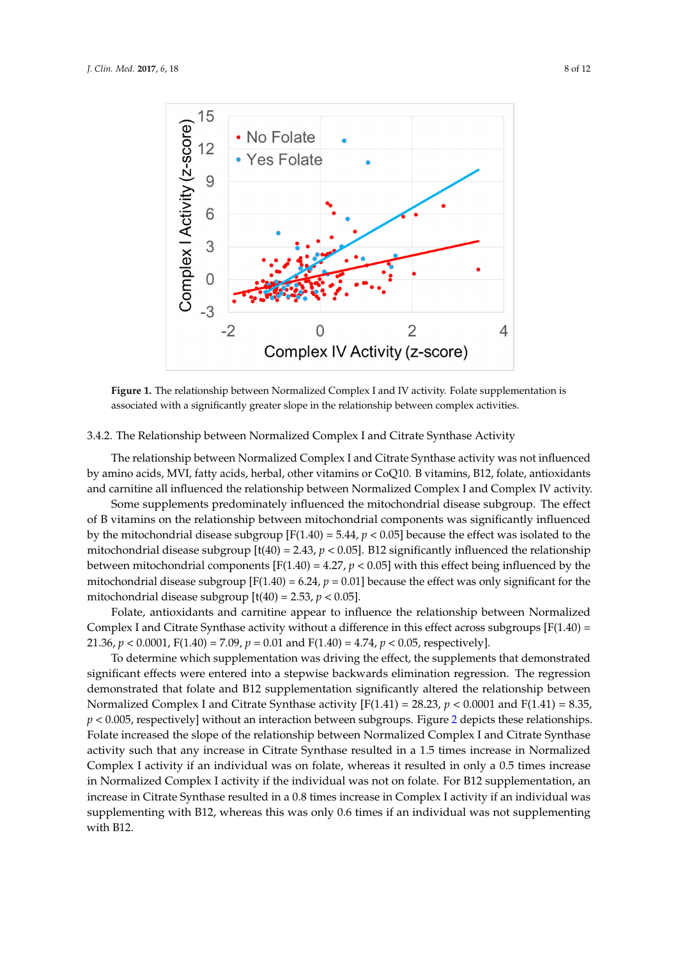<span id="page-7-0"></span>

**Figure 1.** The relationship between Normalized Complex I and IV activity. Folate supplementation is **Figure 1.** The relationship between Normalized Complex I and IV activity. Folate supplementation is associated with a significantly greater slope in the relationship between complex activities. associated with a significantly greater slope in the relationship between complex activities.

#### 3.4.2. The Relationship between Normalized Complex I and Citrate Synthase Activity 3.4.2. The Relationship between Normalized Complex I and Citrate Synthase Activity

The relationship between Normalized Complex I and Citrate Synthase activity was not The relationship between Normalized Complex I and Citrate Synthase activity was not influenced by amino acids, MVI, fatty acids, herbal, other vitamins or CoQ10. B vitamins, B12, folate, antioxidants and carnitine all influenced the relationship between Normalized Complex I and Complex IV activity.

Some supplements predominately influenced the mitochondrial disease subgroup. The effect of B vitamins on the relationship between mitochondrial components was significantly influenced by the mitochondrial disease subgroup  $[F(1.40) = 5.44, p < 0.05]$  because the effect was isolated to the mitochondrial disease subgroup  $[t(40) = 2.43, p < 0.05]$ . B12 significantly influenced the relationship between mitochondrial components  $[F(1.40) = 4.27, p < 0.05]$  with this effect being influenced by the mitochondrial disease subgroup [F(1.40) = 6.24,  $p = 0.01$ ] because the effect was only significant for the mitochondrial disease subgroup  $[t(40) = 2.53, p < 0.05]$ .

Folate, antioxidants and carnitine appear to influence the relationship between Normalized Complex I and Citrate Synthase activity without a difference in this effect across subgroups  $[F(1.40) =$ 21.36,  $p < 0.0001$ , F(1.40) = 7.09,  $p = 0.01$  and F(1.40) = 4.74,  $p < 0.05$ , respectively].

To determine which supplementation was driving the effect, the supplements that demonstrated significant effects were entered into a stepwise backwards elimination regression. The regression demonstrated that folate and B12 supplementation significantly altered the relationship between Normalized Complex I and Citrate Synthase activity  $[F(1.41) = 28.23, p < 0.0001$  and  $F(1.41) = 8.35,$  $p < 0.005$  $p < 0.005$  $p < 0.005$ , respectively] without an interaction between subgroups. Figure 2 depicts these relationships. Folate increased the slope of the relationship between Normalized Complex I and Citrate Synthase activity such that any increase in Citrate Synthase resulted in a 1.5 times increase in Normalized Complex I activity if an individual was on folate, whereas it resulted in only a 0.5 times increase in Normalized Complex I activity if the individual was not on folate. For B12 supplementation, an increase in Citrate Synthase resulted in a 0.8 times increase in Complex I activity if an individual was supplementing with B12, whereas this was only 0.6 times if an individual was not supplementing  $\frac{1}{\sqrt{2}}$  with B12, whereas this was only 0.6 times if an individual was not supplementing was not supplementing was not supplementing was not supplementing was not supplementing was not supplementing was not supplemen with B12.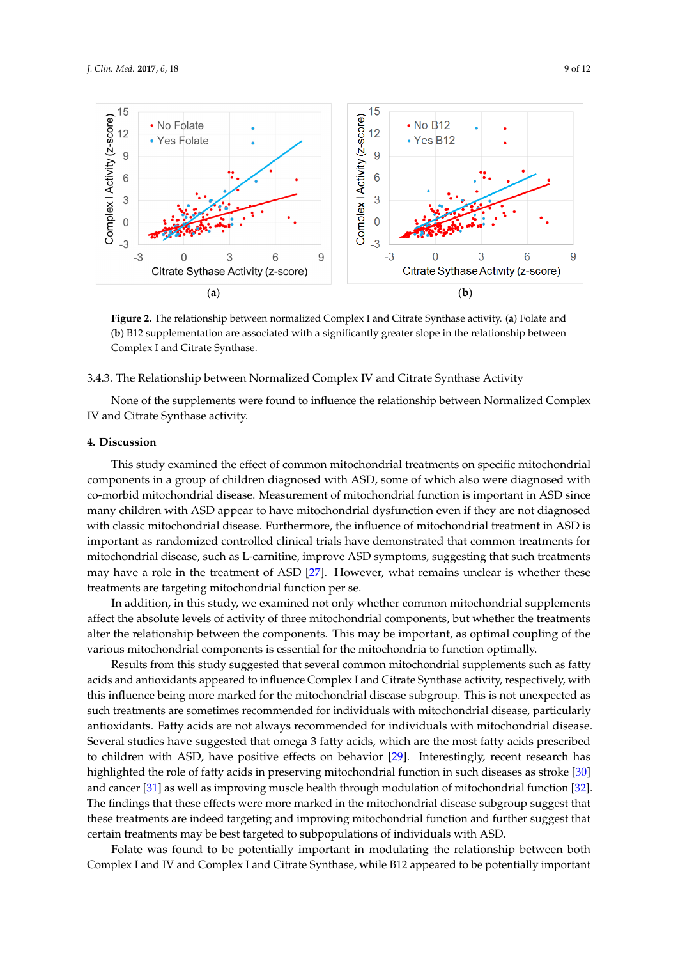<span id="page-8-0"></span>

Figure 2. The relationship between normalized Complex I and Citrate Synthase activity. (a) Folate and and (**b**) B12 supplementation are associated with a significantly greater slope in the relationship (**b**) B12 supplementation are associated with a significantly greater slope in the relationship between Complex I and Citrate Synthase.

# 3.4.2. The Relationship between Normalized Complex IV and Citrate Synthase Activity 3.4.3. The Relationship between Normalized Complex IV and Citrate Synthase Activity

None of the supplements were found to influence the relationship between Normalized None of the supplements were found to influence the relationship between Normalized Complex IV and Citrate Synthase activity.

## **4. Discussion 4. Discussion**

This study examined the effect of common mitochondrial treatments on specific mitochondrial This study examined the effect of common mitochondrial treatments on specific mitochondrial components in a group of children diagnosed with ASD, some of which also were diagnosed with co‐morbid mitochondrial disease. Measurement of mitochondrial function is important in ASD since co-morbid mitochondrial disease. Measurement of mitochondrial function is important in ASD since many children with ASD appear to have mitochondrial dysfunction even if they are not diagnosed many children with ASD appear to have mitochondrial dysfunction even if they are not diagnosed with classic mitochondrial disease. Furthermore, the influence of mitochondrial treatment in ASD is with classic mitochondrial disease. Furthermore, the influence of mitochondrial treatment in ASD is important as randomized controlled clinical trials have demonstrated that common treatments for important as randomized controlled clinical trials have demonstrated that common treatments for mitochondrial disease, such as L‐carnitine, improve ASD symptoms, suggesting that such treatments mitochondrial disease, such as L-carnitine, improve ASD symptoms, suggesting that such treatments may have a role in the treatment of ASD [\[27\]](#page-11-2). However, what remains unclear is whether these treatments are targeting mitochondrial function per se. treatments are targeting mitochondrial function per se.

In addition, in this study, we examined not only whether common mitochondrial supplements In addition, in this study, we examined not only whether common mitochondrial supplements affect the absolute levels of activity of three mitochondrial components, but whether the treatments affect the absolute levels of activity of three mitochondrial components, but whether the treatments alter the relationship between the components. This may be important, as optimal coupling of the alter the relationship between the components. This may be important, as optimal coupling of the various mitochondrial components is essential for the mitochondria to function optimally. various mitochondrial components is essential for the mitochondria to function optimally.

Results from this study suggested that several common mitochondrial supplements such as fatty Results from this study suggested that several common mitochondrial supplements such as fatty acids and antioxidants appeared to influence Complex I and Citrate Synthase activity, respectively, acids and antioxidants appeared to influence Complex I and Citrate Synthase activity, respectively, with this influence being more marked for the mitochondrial disease subgroup. This is not unexpected as such treatments are sometimes recommended for individuals with mitochondrial disease, particularly antioxidants. Fatty acids are not always recommended for individuals with mitochondrial disease. Several studies have suggested that omega 3 fatty acids, which are the most fatty acids prescribed to children with ASD, have positive effects on behavior [\[29\]](#page-11-4). Interestingly, recent research has highlighted the role of fatty acids in preserving mitochondrial function in such diseases as stroke [\[30\]](#page-11-5) and cancer [\[31\]](#page-11-6) as well as improving muscle health through modulation of mitochondrial function [\[32\]](#page-11-7). The findings that these effects were more marked in the mitochondrial disease subgroup suggest that these treatments are indeed targeting and improving mitochondrial function and further suggest that certain treatments may be best targeted to subpopulations of individuals with ASD.

Folate was found to be potentially important in modulating the relationship between both Complex I and IV and Complex I and Citrate Synthase, while B12 appeared to be potentially important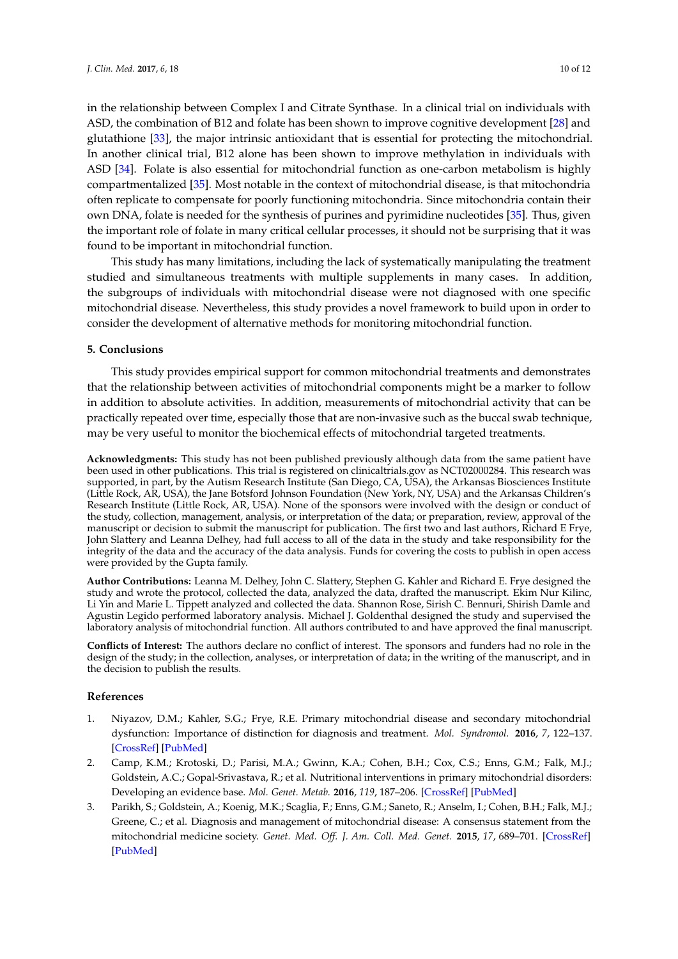in the relationship between Complex I and Citrate Synthase. In a clinical trial on individuals with ASD, the combination of B12 and folate has been shown to improve cognitive development [\[28\]](#page-11-3) and glutathione [\[33\]](#page-11-8), the major intrinsic antioxidant that is essential for protecting the mitochondrial. In another clinical trial, B12 alone has been shown to improve methylation in individuals with ASD [\[34\]](#page-11-9). Folate is also essential for mitochondrial function as one-carbon metabolism is highly compartmentalized [\[35\]](#page-11-10). Most notable in the context of mitochondrial disease, is that mitochondria often replicate to compensate for poorly functioning mitochondria. Since mitochondria contain their own DNA, folate is needed for the synthesis of purines and pyrimidine nucleotides [\[35\]](#page-11-10). Thus, given the important role of folate in many critical cellular processes, it should not be surprising that it was found to be important in mitochondrial function.

This study has many limitations, including the lack of systematically manipulating the treatment studied and simultaneous treatments with multiple supplements in many cases. In addition, the subgroups of individuals with mitochondrial disease were not diagnosed with one specific mitochondrial disease. Nevertheless, this study provides a novel framework to build upon in order to consider the development of alternative methods for monitoring mitochondrial function.

#### **5. Conclusions**

This study provides empirical support for common mitochondrial treatments and demonstrates that the relationship between activities of mitochondrial components might be a marker to follow in addition to absolute activities. In addition, measurements of mitochondrial activity that can be practically repeated over time, especially those that are non-invasive such as the buccal swab technique, may be very useful to monitor the biochemical effects of mitochondrial targeted treatments.

**Acknowledgments:** This study has not been published previously although data from the same patient have been used in other publications. This trial is registered on clinicaltrials.gov as NCT02000284. This research was supported, in part, by the Autism Research Institute (San Diego, CA, USA), the Arkansas Biosciences Institute (Little Rock, AR, USA), the Jane Botsford Johnson Foundation (New York, NY, USA) and the Arkansas Children's Research Institute (Little Rock, AR, USA). None of the sponsors were involved with the design or conduct of the study, collection, management, analysis, or interpretation of the data; or preparation, review, approval of the manuscript or decision to submit the manuscript for publication. The first two and last authors, Richard E Frye, John Slattery and Leanna Delhey, had full access to all of the data in the study and take responsibility for the integrity of the data and the accuracy of the data analysis. Funds for covering the costs to publish in open access were provided by the Gupta family.

**Author Contributions:** Leanna M. Delhey, John C. Slattery, Stephen G. Kahler and Richard E. Frye designed the study and wrote the protocol, collected the data, analyzed the data, drafted the manuscript. Ekim Nur Kilinc, Li Yin and Marie L. Tippett analyzed and collected the data. Shannon Rose, Sirish C. Bennuri, Shirish Damle and Agustin Legido performed laboratory analysis. Michael J. Goldenthal designed the study and supervised the laboratory analysis of mitochondrial function. All authors contributed to and have approved the final manuscript.

**Conflicts of Interest:** The authors declare no conflict of interest. The sponsors and funders had no role in the design of the study; in the collection, analyses, or interpretation of data; in the writing of the manuscript, and in the decision to publish the results.

#### **References**

- <span id="page-9-0"></span>1. Niyazov, D.M.; Kahler, S.G.; Frye, R.E. Primary mitochondrial disease and secondary mitochondrial dysfunction: Importance of distinction for diagnosis and treatment. *Mol. Syndromol.* **2016**, *7*, 122–137. [\[CrossRef\]](http://dx.doi.org/10.1159/000446586) [\[PubMed\]](http://www.ncbi.nlm.nih.gov/pubmed/27587988)
- <span id="page-9-1"></span>2. Camp, K.M.; Krotoski, D.; Parisi, M.A.; Gwinn, K.A.; Cohen, B.H.; Cox, C.S.; Enns, G.M.; Falk, M.J.; Goldstein, A.C.; Gopal-Srivastava, R.; et al. Nutritional interventions in primary mitochondrial disorders: Developing an evidence base. *Mol. Genet. Metab.* **2016**, *119*, 187–206. [\[CrossRef\]](http://dx.doi.org/10.1016/j.ymgme.2016.09.002) [\[PubMed\]](http://www.ncbi.nlm.nih.gov/pubmed/27665271)
- <span id="page-9-2"></span>3. Parikh, S.; Goldstein, A.; Koenig, M.K.; Scaglia, F.; Enns, G.M.; Saneto, R.; Anselm, I.; Cohen, B.H.; Falk, M.J.; Greene, C.; et al. Diagnosis and management of mitochondrial disease: A consensus statement from the mitochondrial medicine society. *Genet. Med. Off. J. Am. Coll. Med. Genet.* **2015**, *17*, 689–701. [\[CrossRef\]](http://dx.doi.org/10.1038/gim.2014.177) [\[PubMed\]](http://www.ncbi.nlm.nih.gov/pubmed/25503498)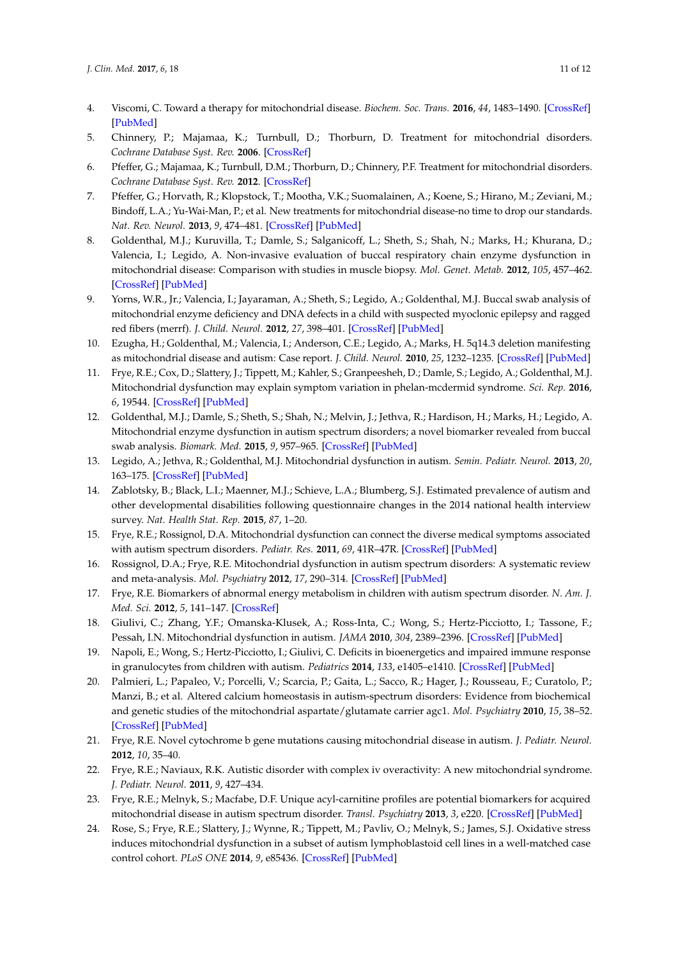- <span id="page-10-0"></span>4. Viscomi, C. Toward a therapy for mitochondrial disease. *Biochem. Soc. Trans.* **2016**, *44*, 1483–1490. [\[CrossRef\]](http://dx.doi.org/10.1042/BST20160085) [\[PubMed\]](http://www.ncbi.nlm.nih.gov/pubmed/27911730)
- <span id="page-10-1"></span>5. Chinnery, P.; Majamaa, K.; Turnbull, D.; Thorburn, D. Treatment for mitochondrial disorders. *Cochrane Database Syst. Rev.* **2006**. [\[CrossRef\]](http://dx.doi.org/10.1002/14651858.CD004426)
- <span id="page-10-2"></span>6. Pfeffer, G.; Majamaa, K.; Turnbull, D.M.; Thorburn, D.; Chinnery, P.F. Treatment for mitochondrial disorders. *Cochrane Database Syst. Rev.* **2012**. [\[CrossRef\]](http://dx.doi.org/10.1002/14651858.CD004426)
- <span id="page-10-3"></span>7. Pfeffer, G.; Horvath, R.; Klopstock, T.; Mootha, V.K.; Suomalainen, A.; Koene, S.; Hirano, M.; Zeviani, M.; Bindoff, L.A.; Yu-Wai-Man, P.; et al. New treatments for mitochondrial disease-no time to drop our standards. *Nat. Rev. Neurol.* **2013**, *9*, 474–481. [\[CrossRef\]](http://dx.doi.org/10.1038/nrneurol.2013.129) [\[PubMed\]](http://www.ncbi.nlm.nih.gov/pubmed/23817350)
- <span id="page-10-4"></span>8. Goldenthal, M.J.; Kuruvilla, T.; Damle, S.; Salganicoff, L.; Sheth, S.; Shah, N.; Marks, H.; Khurana, D.; Valencia, I.; Legido, A. Non-invasive evaluation of buccal respiratory chain enzyme dysfunction in mitochondrial disease: Comparison with studies in muscle biopsy. *Mol. Genet. Metab.* **2012**, *105*, 457–462. [\[CrossRef\]](http://dx.doi.org/10.1016/j.ymgme.2011.11.193) [\[PubMed\]](http://www.ncbi.nlm.nih.gov/pubmed/22189081)
- 9. Yorns, W.R., Jr.; Valencia, I.; Jayaraman, A.; Sheth, S.; Legido, A.; Goldenthal, M.J. Buccal swab analysis of mitochondrial enzyme deficiency and DNA defects in a child with suspected myoclonic epilepsy and ragged red fibers (merrf). *J. Child. Neurol.* **2012**, *27*, 398–401. [\[CrossRef\]](http://dx.doi.org/10.1177/0883073811420870) [\[PubMed\]](http://www.ncbi.nlm.nih.gov/pubmed/22114216)
- <span id="page-10-5"></span>10. Ezugha, H.; Goldenthal, M.; Valencia, I.; Anderson, C.E.; Legido, A.; Marks, H. 5q14.3 deletion manifesting as mitochondrial disease and autism: Case report. *J. Child. Neurol.* **2010**, *25*, 1232–1235. [\[CrossRef\]](http://dx.doi.org/10.1177/0883073809361165) [\[PubMed\]](http://www.ncbi.nlm.nih.gov/pubmed/20179003)
- <span id="page-10-6"></span>11. Frye, R.E.; Cox, D.; Slattery, J.; Tippett, M.; Kahler, S.; Granpeesheh, D.; Damle, S.; Legido, A.; Goldenthal, M.J. Mitochondrial dysfunction may explain symptom variation in phelan-mcdermid syndrome. *Sci. Rep.* **2016**, *6*, 19544. [\[CrossRef\]](http://dx.doi.org/10.1038/srep19544) [\[PubMed\]](http://www.ncbi.nlm.nih.gov/pubmed/26822410)
- <span id="page-10-7"></span>12. Goldenthal, M.J.; Damle, S.; Sheth, S.; Shah, N.; Melvin, J.; Jethva, R.; Hardison, H.; Marks, H.; Legido, A. Mitochondrial enzyme dysfunction in autism spectrum disorders; a novel biomarker revealed from buccal swab analysis. *Biomark. Med.* **2015**, *9*, 957–965. [\[CrossRef\]](http://dx.doi.org/10.2217/bmm.15.72) [\[PubMed\]](http://www.ncbi.nlm.nih.gov/pubmed/26439018)
- <span id="page-10-8"></span>13. Legido, A.; Jethva, R.; Goldenthal, M.J. Mitochondrial dysfunction in autism. *Semin. Pediatr. Neurol.* **2013**, *20*, 163–175. [\[CrossRef\]](http://dx.doi.org/10.1016/j.spen.2013.10.008) [\[PubMed\]](http://www.ncbi.nlm.nih.gov/pubmed/24331358)
- <span id="page-10-9"></span>14. Zablotsky, B.; Black, L.I.; Maenner, M.J.; Schieve, L.A.; Blumberg, S.J. Estimated prevalence of autism and other developmental disabilities following questionnaire changes in the 2014 national health interview survey. *Nat. Health Stat. Rep.* **2015**, *87*, 1–20.
- <span id="page-10-10"></span>15. Frye, R.E.; Rossignol, D.A. Mitochondrial dysfunction can connect the diverse medical symptoms associated with autism spectrum disorders. *Pediatr. Res.* **2011**, *69*, 41R–47R. [\[CrossRef\]](http://dx.doi.org/10.1203/PDR.0b013e318212f16b) [\[PubMed\]](http://www.ncbi.nlm.nih.gov/pubmed/21289536)
- <span id="page-10-11"></span>16. Rossignol, D.A.; Frye, R.E. Mitochondrial dysfunction in autism spectrum disorders: A systematic review and meta-analysis. *Mol. Psychiatry* **2012**, *17*, 290–314. [\[CrossRef\]](http://dx.doi.org/10.1038/mp.2010.136) [\[PubMed\]](http://www.ncbi.nlm.nih.gov/pubmed/21263444)
- <span id="page-10-12"></span>17. Frye, R.E. Biomarkers of abnormal energy metabolism in children with autism spectrum disorder. *N. Am. J. Med. Sci.* **2012**, *5*, 141–147. [\[CrossRef\]](http://dx.doi.org/10.7156/v5i3p141)
- <span id="page-10-13"></span>18. Giulivi, C.; Zhang, Y.F.; Omanska-Klusek, A.; Ross-Inta, C.; Wong, S.; Hertz-Picciotto, I.; Tassone, F.; Pessah, I.N. Mitochondrial dysfunction in autism. *JAMA* **2010**, *304*, 2389–2396. [\[CrossRef\]](http://dx.doi.org/10.1001/jama.2010.1706) [\[PubMed\]](http://www.ncbi.nlm.nih.gov/pubmed/21119085)
- <span id="page-10-14"></span>19. Napoli, E.; Wong, S.; Hertz-Picciotto, I.; Giulivi, C. Deficits in bioenergetics and impaired immune response in granulocytes from children with autism. *Pediatrics* **2014**, *133*, e1405–e1410. [\[CrossRef\]](http://dx.doi.org/10.1542/peds.2013-1545) [\[PubMed\]](http://www.ncbi.nlm.nih.gov/pubmed/24753527)
- <span id="page-10-15"></span>20. Palmieri, L.; Papaleo, V.; Porcelli, V.; Scarcia, P.; Gaita, L.; Sacco, R.; Hager, J.; Rousseau, F.; Curatolo, P.; Manzi, B.; et al. Altered calcium homeostasis in autism-spectrum disorders: Evidence from biochemical and genetic studies of the mitochondrial aspartate/glutamate carrier agc1. *Mol. Psychiatry* **2010**, *15*, 38–52. [\[CrossRef\]](http://dx.doi.org/10.1038/mp.2008.63) [\[PubMed\]](http://www.ncbi.nlm.nih.gov/pubmed/18607376)
- <span id="page-10-16"></span>21. Frye, R.E. Novel cytochrome b gene mutations causing mitochondrial disease in autism. *J. Pediatr. Neurol.* **2012**, *10*, 35–40.
- <span id="page-10-17"></span>22. Frye, R.E.; Naviaux, R.K. Autistic disorder with complex iv overactivity: A new mitochondrial syndrome. *J. Pediatr. Neurol.* **2011**, *9*, 427–434.
- <span id="page-10-18"></span>23. Frye, R.E.; Melnyk, S.; Macfabe, D.F. Unique acyl-carnitine profiles are potential biomarkers for acquired mitochondrial disease in autism spectrum disorder. *Transl. Psychiatry* **2013**, *3*, e220. [\[CrossRef\]](http://dx.doi.org/10.1038/tp.2012.143) [\[PubMed\]](http://www.ncbi.nlm.nih.gov/pubmed/23340503)
- <span id="page-10-19"></span>24. Rose, S.; Frye, R.E.; Slattery, J.; Wynne, R.; Tippett, M.; Pavliv, O.; Melnyk, S.; James, S.J. Oxidative stress induces mitochondrial dysfunction in a subset of autism lymphoblastoid cell lines in a well-matched case control cohort. *PLoS ONE* **2014**, *9*, e85436. [\[CrossRef\]](http://dx.doi.org/10.1371/journal.pone.0085436) [\[PubMed\]](http://www.ncbi.nlm.nih.gov/pubmed/24416410)